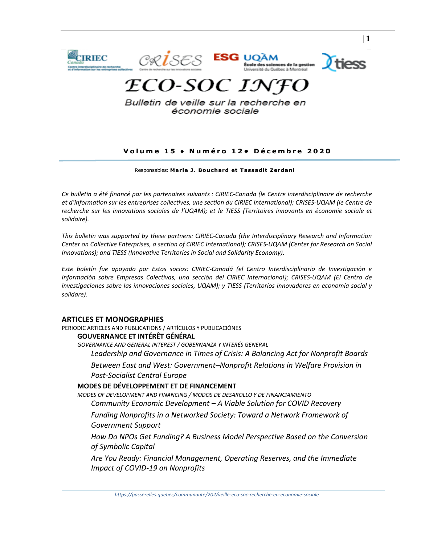

Bulletin de veille sur la recherche en économie sociale

# **V o l u m e 1 5 • N u m é r o 1 2 • D é c e m b r e 2 0 2 0**

| **1**

Responsables: **Mar ie J. Bouchard et Tassadit Zerdani**

*Ce bulletin a été financé par les partenaires suivants : CIRIEC-Canada (le Centre interdisciplinaire de recherche et d'information sur les entreprises collectives, une section du CIRIEC International); CRISES-UQAM (le Centre de recherche sur les innovations sociales de l'UQAM); et le TIESS (Territoires innovants en économie sociale et solidaire).*

*This bulletin was supported by these partners: CIRIEC-Canada (the Interdisciplinary Research and Information Center on Collective Enterprises, a section of CIRIEC International); CRISES-UQAM (Center for Research on Social Innovations); and TIESS (Innovative Territories in Social and Solidarity Economy).*

*Este boletín fue apoyado por Estos socios: CIRIEC-Canadá (el Centro Interdisciplinario de Investigación e Información sobre Empresas Colectivas, una sección del CIRIEC Internacional); CRISES-UQAM (El Centro de investigaciones sobre las innovaciones sociales, UQAM); y TIESS (Territorios innovadores en economía social y solidare)*.

# **[ARTICLES ET MONOGRAPHIES](#page-2-0)**

[PERIODIC ARTICLES AND PUBLICATIONS / ARTÍCULOS Y PUBLICACIÓNES](#page-2-1)

# **[GOUVERNANCE ET INTÉRÊT GÉNÉRAL](#page-2-2)**

*[GOVERNANCE AND GENERAL INTEREST / GOBERNANZA Y INTERÉS GENERAL](#page-2-3)*

*[Leadership and Governance in Times of Crisis: A Balancing Act for Nonprofit Boards](#page-2-4)*

*Between East and West: Government–[Nonprofit Relations in Welfare Provision in](#page-2-5)  [Post-Socialist Central Europe](#page-2-5)*

# **[MODES DE DÉVELOPPEMENT ET DE FINANCEMENT](#page-2-6)**

*MODES OF DEVELOPMENT [AND FINANCING / MODOS DE DESAROLLO Y DE FINANCIAMIENTO](#page-3-0) Community Economic Development – [A Viable Solution for COVID Recovery](#page-3-1) [Funding Nonprofits in a Networked Society: Toward a Network Framework of](#page-3-2)  [Government Support](#page-3-2)*

*[How Do NPOs Get Funding? A Business Model Perspective Based on the Conversion](#page-3-3)  [of Symbolic Capital](#page-3-3)*

*[Are You Ready: Financial Management, Operating Reserves, and the Immediate](#page-3-4)  [Impact of COVID-19 on Nonprofits](#page-3-4)*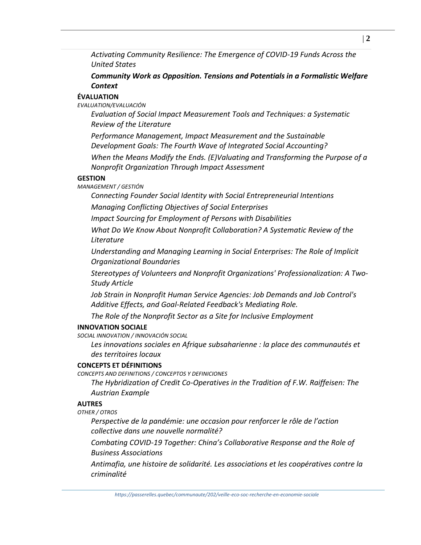*[Activating Community Resilience: The Emergence of COVID-19 Funds Across the](#page-4-0)  [United States](#page-4-0)*

*[Community Work as Opposition. Tensions and Potentials in a Formalistic Welfare](#page-4-1)  [Context](#page-4-1)*

# **[ÉVALUATION](#page-4-2)**

*[EVALUATION/EVALUACIÓN](#page-5-0)*

*[Evaluation of Social Impact Measurement Tools and Techniques: a Systematic](#page-5-1)  [Review of the Literature](#page-5-1)*

*[Performance Management, Impact Measurement and the Sustainable](#page-5-2)  [Development Goals: The Fourth Wave of Integrated Social Accounting?](#page-5-2)*

*[When the Means Modify the Ends. \(E\)Valuating and Transforming the Purpose of a](#page-5-3)  [Nonprofit Organization Through Impact Assessment](#page-5-3)*

# **[GESTION](#page-5-4)**

*[MANAGEMENT / GESTIÓN](#page-6-0)*

*[Connecting Founder Social Identity with Social Entrepreneurial Intentions](#page-6-1) [Managing Conflicting Objectives of Social Enterprises](#page-6-2)*

*[Impact Sourcing for Employment of Persons with Disabilities](#page-6-3)*

*[What Do We Know About Nonprofit Collaboration? A Systematic Review of the](#page-7-0)  [Literature](#page-7-0)*

*[Understanding and Managing Learning in Social](#page-7-1) Enterprises: The Role of Implicit [Organizational Boundaries](#page-7-1)*

*[Stereotypes of Volunteers and Nonprofit Organizations' Professionalization: A Two‐](#page-8-0) [Study Article](#page-8-0)*

*[Job Strain in Nonprofit Human Service Agencies: Job Demands and Job Control's](#page-8-1)  [Additive Effects, and Goal‐Related Feedback's Mediating Role.](#page-8-1)*

*[The Role of the Nonprofit Sector as a Site for Inclusive Employment](#page-8-2)*

# **[INNOVATION SOCIALE](#page-8-3)**

*[SOCIAL INNOVATION / INNOVACIÓN SOCIAL](#page-9-0)*

*[Les innovations sociales en Afrique subsaharienne : la place des communautés et](#page-9-1)  [des territoires locaux](#page-9-1)*

# **[CONCEPTS ET DÉFINITIONS](#page-9-2)**

*[CONCEPTS AND DEFINITIONS / CONCEPTOS Y DEFINICIONES](#page-9-3)*

*[The Hybridization of Credit Co-Operatives in the Tradition of F.W. Raiffeisen: The](#page-9-4)  [Austrian Example](#page-9-4)*

# **[AUTRES](#page-9-5)**

*[OTHER / OTROS](#page-10-0)*

*[Perspective de la pandémie: une occasion pour renforcer le rôle de l'action](#page-10-1)  [collective dans une nouvelle normalité?](#page-10-1)*

*Combating COVID-19 [Together: China's Collaborative Response and the Role of](#page-10-2)  [Business Associations](#page-10-2)*

*[Antimafia, une histoire de solidarité. Les associations et les coopératives contre la](#page-10-3)  [criminalité](#page-10-3)*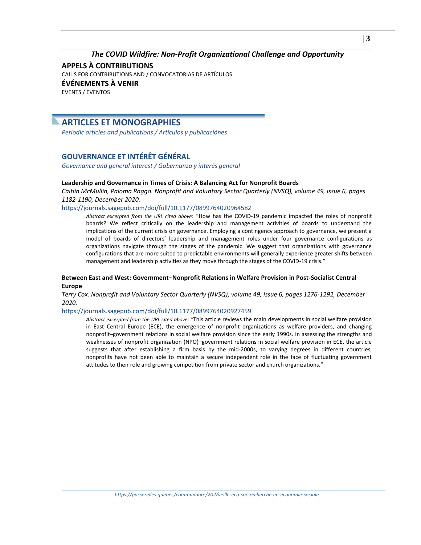# *[The COVID Wildfire: Non-Profit Organizational Challenge and Opportunity](#page-11-0)*

**[APPELS À CONTRIBUTIONS](#page-11-1)** [CALLS FOR CONTRIBUTIONS AND / CONVOCATORIAS DE ARTÍCULOS](#page-11-2) **[ÉVÉNEMENTS À VENIR](#page-12-0)** [EVENTS / EVENTOS](#page-12-1)

# <span id="page-2-0"></span>**ARTICLES ET MONOGRAPHIES**

<span id="page-2-1"></span>*Periodic articles and publications / Artículos y publicaciónes*

# <span id="page-2-2"></span>**GOUVERNANCE ET INTÉRÊT GÉNÉRAL**

<span id="page-2-3"></span>*Governance and general interest / Gobernanza y interés general*

# <span id="page-2-4"></span>**Leadership and Governance in Times of Crisis: A Balancing Act for Nonprofit Boards**

*Caitlin McMullin, Paloma Raggo. Nonprofit and Voluntary Sector Quarterly (NVSQ), volume 49, issue 6, pages 1182-1190, December 2020.*

# <https://journals.sagepub.com/doi/full/10.1177/0899764020964582>

*Abstract excerpted from the URL cited above*: "How has the COVID-19 pandemic impacted the roles of nonprofit boards? We reflect critically on the leadership and management activities of boards to understand the implications of the current crisis on governance. Employing a contingency approach to governance, we present a model of boards of directors' leadership and management roles under four governance configurations as organizations navigate through the stages of the pandemic. We suggest that organizations with governance configurations that are more suited to predictable environments will generally experience greater shifts between management and leadership activities as they move through the stages of the COVID-19 crisis."

# <span id="page-2-5"></span>**Between East and West: Government–Nonprofit Relations in Welfare Provision in Post-Socialist Central Europe**

*Terry Cox. Nonprofit and Voluntary Sector Quarterly (NVSQ), volume 49, issue 6, pages 1276-1292, December 2020.* 

# <https://journals.sagepub.com/doi/full/10.1177/0899764020927459>

<span id="page-2-6"></span>*Abstract excerpted from the URL cited above: "*This article reviews the main developments in social welfare provision in East Central Europe (ECE), the emergence of nonprofit organizations as welfare providers, and changing nonprofit–government relations in social welfare provision since the early 1990s. In assessing the strengths and weaknesses of nonprofit organization (NPO)–government relations in social welfare provision in ECE, the article suggests that after establishing a firm basis by the mid-2000s, to varying degrees in different countries, nonprofits have not been able to maintain a secure independent role in the face of fluctuating government attitudes to their role and growing competition from private sector and church organizations."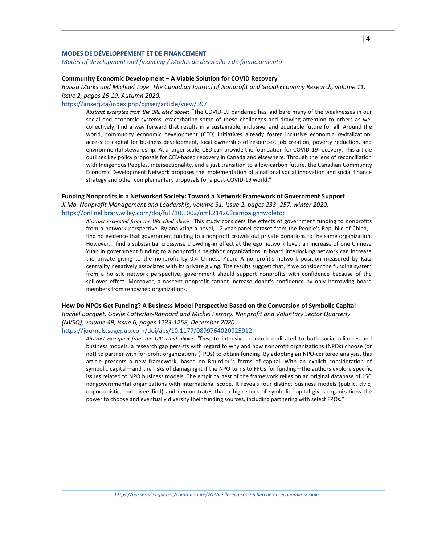# **MODES DE DÉVELOPPEMENT ET DE FINANCEMENT**

<span id="page-3-0"></span>*Modes of development and financing / Modos de desarollo y de financiamiento*

# <span id="page-3-1"></span>**Community Economic Development – A Viable Solution for COVID Recovery**

*Raissa Marks and Michael Toye. The Canadian Journal of Nonprofit and Social Economy Research, volume 11, issue 2, pages 16-19, Autumn 2020.*

#### <https://anserj.ca/index.php/cjnser/article/view/397>

*Abstract excerpted from the URL cited above*: "The COVID-19 pandemic has laid bare many of the weaknesses in our social and economic systems, exacerbating some of these challenges and drawing attention to others as we, collectively, find a way forward that results in a sustainable, inclusive, and equitable future for all. Around the world, community economic development (CED) initiatives already foster inclusive economic revitalization, access to capital for business development, local ownership of resources, job creation, poverty reduction, and environmental stewardship. At a larger scale, CED can provide the foundation for COVID-19 recovery. This article outlines key policy proposals for CED-based recovery in Canada and elsewhere. Through the lens of reconciliation with Indigenous Peoples, intersectionality, and a just transition to a low-carbon future, the Canadian Community Economic Development Network proposes the implementation of a national social innovation and social finance strategy and other complementary proposals for a post-COVID-19 world."

#### <span id="page-3-2"></span>**Funding Nonprofits in a Networked Society: Toward a Network Framework of Government Support**

*Ji Ma. Nonprofit Management and Leadership, volume 31, issue 2, pages 233- 257, winter 2020.*

<https://onlinelibrary.wiley.com/doi/full/10.1002/nml.21426?campaign=woletoc>

*Abstract excerpted from the URL cited above* "This study considers the effects of government funding to nonprofits from a network perspective. By analyzing a novel, 12‐year panel dataset from the People's Republic of China, I find no evidence that government funding to a nonprofit crowds out private donations to the same organization. However, I find a substantial crosswise crowding-in effect at the ego network level: an increase of one Chinese Yuan in government funding to a nonprofit's neighbor organizations in board interlocking network can increase the private giving to the nonprofit by 0.4 Chinese Yuan. A nonprofit's network position measured by Katz centrality negatively associates with its private giving. The results suggest that, if we consider the funding system from a holistic network perspective, government should support nonprofits with confidence because of the spillover effect. Moreover, a nascent nonprofit cannot increase donor's confidence by only borrowing board members from renowned organizations."

## <span id="page-3-3"></span>**How Do NPOs Get Funding? A Business Model Perspective Based on the Conversion of Symbolic Capital**

*Rachel Bocquet, Gaëlle Cotterlaz-Rannard and Michel Ferrary. Nonprofit and Voluntary Sector Quarterly (NVSQ), volume 49, issue 6, pages 1233-1258, December 2020.*

## <https://journals.sagepub.com/doi/abs/10.1177/0899764020925912>

<span id="page-3-4"></span>*Abstract excerpted from the URL cited above*: "Despite intensive research dedicated to both social alliances and business models, a research gap persists with regard to why and how nonprofit organizations (NPOs) choose (or not) to partner with for-profit organizations (FPOs) to obtain funding. By adopting an NPO-centered analysis, this article presents a new framework, based on Bourdieu's forms of capital. With an explicit consideration of symbolic capital—and the risks of damaging it if the NPO turns to FPOs for funding—the authors explore specific issues related to NPO business models. The empirical test of the framework relies on an original database of 150 nongovernmental organizations with international scope. It reveals four distinct business models (public, civic, opportunistic, and diversified) and demonstrates that a high stock of symbolic capital gives organizations the power to choose and eventually diversify their funding sources, including partnering with select FPOs."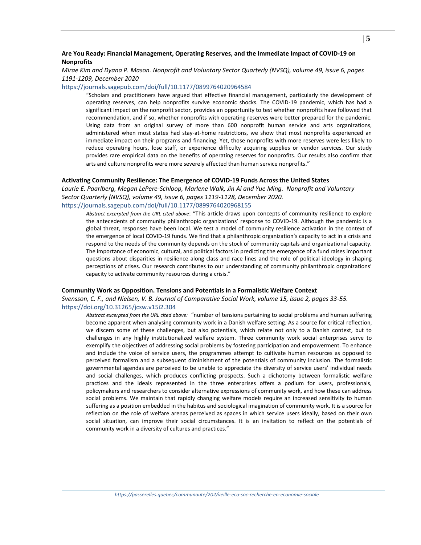# **Are You Ready: Financial Management, Operating Reserves, and the Immediate Impact of COVID-19 on Nonprofits**

# *Mirae Kim and Dyana P. Mason. Nonprofit and Voluntary Sector Quarterly (NVSQ), volume 49, issue 6, pages 1191-1209, December 2020*

#### <https://journals.sagepub.com/doi/full/10.1177/0899764020964584>

"Scholars and practitioners have argued that effective financial management, particularly the development of operating reserves, can help nonprofits survive economic shocks. The COVID-19 pandemic, which has had a significant impact on the nonprofit sector, provides an opportunity to test whether nonprofits have followed that recommendation, and if so, whether nonprofits with operating reserves were better prepared for the pandemic. Using data from an original survey of more than 600 nonprofit human service and arts organizations, administered when most states had stay-at-home restrictions, we show that most nonprofits experienced an immediate impact on their programs and financing. Yet, those nonprofits with more reserves were less likely to reduce operating hours, lose staff, or experience difficulty acquiring supplies or vendor services. Our study provides rare empirical data on the benefits of operating reserves for nonprofits. Our results also confirm that arts and culture nonprofits were more severely affected than human service nonprofits."

#### <span id="page-4-0"></span>**Activating Community Resilience: The Emergence of COVID-19 Funds Across the United States**

*Laurie E. Paarlberg, Megan LePere-Schloop, Marlene Walk, Jin Ai and Yue Ming. Nonprofit and Voluntary Sector Quarterly (NVSQ), volume 49, issue 6, pages 1119-1128, December 2020.*  <https://journals.sagepub.com/doi/full/10.1177/0899764020968155>

*Abstract excerpted from the URL cited above*: "This article draws upon concepts of community resilience to explore the antecedents of community philanthropic organizations' response to COVID-19. Although the pandemic is a global threat, responses have been local. We test a model of community resilience activation in the context of the emergence of local COVID-19 funds. We find that a philanthropic organization's capacity to act in a crisis and respond to the needs of the community depends on the stock of community capitals and organizational capacity. The importance of economic, cultural, and political factors in predicting the emergence of a fund raises important questions about disparities in resilience along class and race lines and the role of political ideology in shaping perceptions of crises. Our research contributes to our understanding of community philanthropic organizations' capacity to activate community resources during a crisis."

#### <span id="page-4-1"></span>**Community Work as Opposition. Tensions and Potentials in a Formalistic Welfare Context**

*Svensson, C. F., and Nielsen, V. B. Journal of Comparative Social Work, volume 15, issue 2, pages 33-55.*  <https://doi.org/10.31265/jcsw.v15i2.304>

<span id="page-4-2"></span>*Abstract excerpted from the URL cited above:* "number of tensions pertaining to social problems and human suffering become apparent when analysing community work in a Danish welfare setting. As a source for critical reflection, we discern some of these challenges, but also potentials, which relate not only to a Danish context, but to challenges in any highly institutionalized welfare system. Three community work social enterprises serve to exemplify the objectives of addressing social problems by fostering participation and empowerment. To enhance and include the voice of service users, the programmes attempt to cultivate human resources as opposed to perceived formalism and a subsequent diminishment of the potentials of community inclusion. The formalistic governmental agendas are perceived to be unable to appreciate the diversity of service users' individual needs and social challenges, which produces conflicting prospects. Such a dichotomy between formalistic welfare practices and the ideals represented in the three enterprises offers a podium for users, professionals, policymakers and researchers to consider alternative expressions of community work, and how these can address social problems. We maintain that rapidly changing welfare models require an increased sensitivity to human suffering as a position embedded in the habitus and sociological imagination of community work. It is a source for reflection on the role of welfare arenas perceived as spaces in which service users ideally, based on their own social situation, can improve their social circumstances. It is an invitation to reflect on the potentials of community work in a diversity of cultures and practices."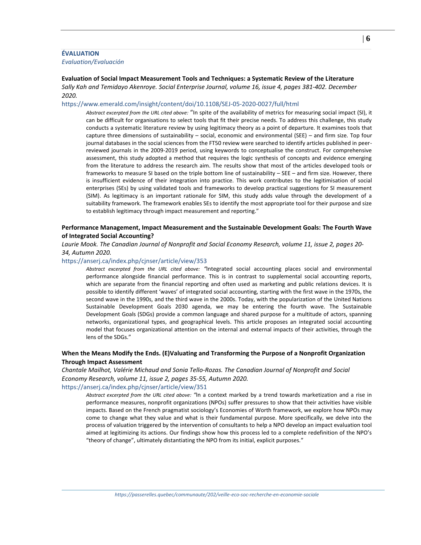# **ÉVALUATION**

<span id="page-5-0"></span>*Evaluation/Evaluación*

#### <span id="page-5-1"></span>**Evaluation of Social Impact Measurement Tools and Techniques: a Systematic Review of the Literature**

*Sally Kah and Temidayo Akenroye. Social Enterprise Journal, volume 16, issue 4, pages 381-402. December 2020.*

#### <https://www.emerald.com/insight/content/doi/10.1108/SEJ-05-2020-0027/full/html>

*Abstract excerpted from the URL cited above:* "In spite of the availability of metrics for measuring social impact (SI), it can be difficult for organisations to select tools that fit their precise needs. To address this challenge, this study conducts a systematic literature review by using legitimacy theory as a point of departure. It examines tools that capture three dimensions of sustainability – social, economic and environmental (SEE) – and firm size. Top four journal databases in the social sciences from the FT50 review were searched to identify articles published in peerreviewed journals in the 2009-2019 period, using keywords to conceptualise the construct. For comprehensive assessment, this study adopted a method that requires the logic synthesis of concepts and evidence emerging from the literature to address the research aim. The results show that most of the articles developed tools or frameworks to measure SI based on the triple bottom line of sustainability – SEE – and firm size. However, there is insufficient evidence of their integration into practice. This work contributes to the legitimisation of social enterprises (SEs) by using validated tools and frameworks to develop practical suggestions for SI measurement (SIM). As legitimacy is an important rationale for SIM, this study adds value through the development of a suitability framework. The framework enables SEs to identify the most appropriate tool for their purpose and size to establish legitimacy through impact measurement and reporting."

## <span id="page-5-2"></span>**Performance Management, Impact Measurement and the Sustainable Development Goals: The Fourth Wave of Integrated Social Accounting?**

*Laurie Mook. The Canadian Journal of Nonprofit and Social Economy Research, volume 11, issue 2, pages 20- 34, Autumn 2020.*

#### <https://anserj.ca/index.php/cjnser/article/view/353>

*Abstract excerpted from the URL cited above: "*Integrated social accounting places social and environmental performance alongside financial performance. This is in contrast to supplemental social accounting reports, which are separate from the financial reporting and often used as marketing and public relations devices. It is possible to identify different 'waves' of integrated social accounting, starting with the first wave in the 1970s, the second wave in the 1990s, and the third wave in the 2000s. Today, with the popularization of the United Nations Sustainable Development Goals 2030 agenda, we may be entering the fourth wave. The Sustainable Development Goals (SDGs) provide a common language and shared purpose for a multitude of actors, spanning networks, organizational types, and geographical levels. This article proposes an integrated social accounting model that focuses organizational attention on the internal and external impacts of their activities, through the lens of the SDGs."

# <span id="page-5-3"></span>**When the Means Modify the Ends. (E)Valuating and Transforming the Purpose of a Nonprofit Organization Through Impact Assessment**

*Chantale Mailhot, Valérie Michaud and Sonia Tello-Rozas. The Canadian Journal of Nonprofit and Social Economy Research, volume 11, issue 2, pages 35-55, Autumn 2020.* <https://anserj.ca/index.php/cjnser/article/view/351>

<span id="page-5-4"></span>*Abstract excerpted from the URL cited above: "*In a context marked by a trend towards marketization and a rise in performance measures, nonprofit organizations (NPOs) suffer pressures to show that their activities have visible impacts. Based on the French pragmatist sociology's Economies of Worth framework, we explore how NPOs may come to change what they value and what is their fundamental purpose. More specifically, we delve into the process of valuation triggered by the intervention of consultants to help a NPO develop an impact evaluation tool aimed at legitimizing its actions. Our findings show how this process led to a complete redefinition of the NPO's "theory of change", ultimately distantiating the NPO from its initial, explicit purposes."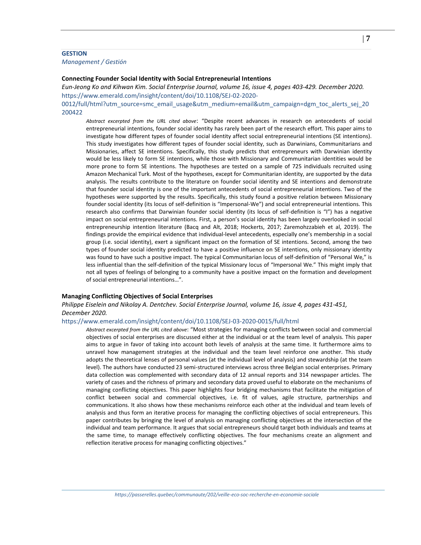# <span id="page-6-0"></span>**GESTION** *Management / Gestión*

#### <span id="page-6-1"></span>**Connecting Founder Social Identity with Social Entrepreneurial Intentions**

*Eun-Jeong Ko and Kihwan Kim. Social Enterprise Journal, volume 16, issue 4, pages 403-429. December 2020.*  [https://www.emerald.com/insight/content/doi/10.1108/SEJ-02-2020-](https://www.emerald.com/insight/content/doi/10.1108/SEJ-02-2020-0012/full/html?utm_source=smc_email_usage&utm_medium=email&utm_campaign=dgm_toc_alerts_sej_20200422) [0012/full/html?utm\\_source=smc\\_email\\_usage&utm\\_medium=email&utm\\_campaign=dgm\\_toc\\_alerts\\_sej\\_20](https://www.emerald.com/insight/content/doi/10.1108/SEJ-02-2020-0012/full/html?utm_source=smc_email_usage&utm_medium=email&utm_campaign=dgm_toc_alerts_sej_20200422)

[200422](https://www.emerald.com/insight/content/doi/10.1108/SEJ-02-2020-0012/full/html?utm_source=smc_email_usage&utm_medium=email&utm_campaign=dgm_toc_alerts_sej_20200422)

*Abstract excerpted from the URL cited above*: "Despite recent advances in research on antecedents of social entrepreneurial intentions, founder social identity has rarely been part of the research effort. This paper aims to investigate how different types of founder social identity affect social entrepreneurial intentions (SE intentions). This study investigates how different types of founder social identity, such as Darwinians, Communitarians and Missionaries, affect SE intentions. Specifically, this study predicts that entrepreneurs with Darwinian identity would be less likely to form SE intentions, while those with Missionary and Communitarian identities would be more prone to form SE intentions. The hypotheses are tested on a sample of 725 individuals recruited using Amazon Mechanical Turk. Most of the hypotheses, except for Communitarian identity, are supported by the data analysis. The results contribute to the literature on founder social identity and SE intentions and demonstrate that founder social identity is one of the important antecedents of social entrepreneurial intentions. Two of the hypotheses were supported by the results. Specifically, this study found a positive relation between Missionary founder social identity (its locus of self-definition is "Impersonal-We") and social entrepreneurial intentions. This research also confirms that Darwinian founder social identity (its locus of self-definition is "I") has a negative impact on social entrepreneurial intentions. First, a person's social identity has been largely overlooked in social entrepreneurship intention literature (Bacq and Alt, 2018; Hockerts, 2017; Zaremohzzabieh et al, 2019). The findings provide the empirical evidence that individual-level antecedents, especially one's membership in a social group (i.e. social identity), exert a significant impact on the formation of SE intentions. Second, among the two types of founder social identity predicted to have a positive influence on SE intentions, only missionary identity was found to have such a positive impact. The typical Communitarian locus of self-definition of "Personal We," is less influential than the self-definition of the typical Missionary locus of "Impersonal We." This might imply that not all types of feelings of belonging to a community have a positive impact on the formation and development of social entrepreneurial intentions…".

#### <span id="page-6-2"></span>**Managing Conflicting Objectives of Social Enterprises**

*Philippe Eiselein and Nikolay A. Dentchev. Social Enterprise Journal, volume 16, issue 4, pages 431-451, December 2020.* 

#### <https://www.emerald.com/insight/content/doi/10.1108/SEJ-03-2020-0015/full/html>

<span id="page-6-3"></span>*Abstract excerpted from the URL cited above*: "Most strategies for managing conflicts between social and commercial objectives of social enterprises are discussed either at the individual or at the team level of analysis. This paper aims to argue in favor of taking into account both levels of analysis at the same time. It furthermore aims to unravel how management strategies at the individual and the team level reinforce one another. This study adopts the theoretical lenses of personal values (at the individual level of analysis) and stewardship (at the team level). The authors have conducted 23 semi-structured interviews across three Belgian social enterprises. Primary data collection was complemented with secondary data of 12 annual reports and 314 newspaper articles. The variety of cases and the richness of primary and secondary data proved useful to elaborate on the mechanisms of managing conflicting objectives. This paper highlights four bridging mechanisms that facilitate the mitigation of conflict between social and commercial objectives, i.e. fit of values, agile structure, partnerships and communications. It also shows how these mechanisms reinforce each other at the individual and team levels of analysis and thus form an iterative process for managing the conflicting objectives of social entrepreneurs. This paper contributes by bringing the level of analysis on managing conflicting objectives at the intersection of the individual and team performance. It argues that social entrepreneurs should target both individuals and teams at the same time, to manage effectively conflicting objectives. The four mechanisms create an alignment and reflection iterative process for managing conflicting objectives."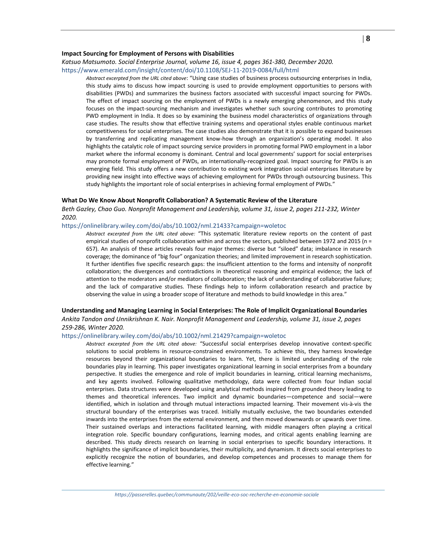#### **Impact Sourcing for Employment of Persons with Disabilities**

#### *Katsuo Matsumoto. Social Enterprise Journal, volume 16, issue 4, pages 361-380, December 2020.*

#### <https://www.emerald.com/insight/content/doi/10.1108/SEJ-11-2019-0084/full/html>

*Abstract excerpted from the URL cited above*: "Using case studies of business process outsourcing enterprises in India, this study aims to discuss how impact sourcing is used to provide employment opportunities to persons with disabilities (PWDs) and summarizes the business factors associated with successful impact sourcing for PWDs. The effect of impact sourcing on the employment of PWDs is a newly emerging phenomenon, and this study focuses on the impact-sourcing mechanism and investigates whether such sourcing contributes to promoting PWD employment in India. It does so by examining the business model characteristics of organizations through case studies. The results show that effective training systems and operational styles enable continuous market competitiveness for social enterprises. The case studies also demonstrate that it is possible to expand businesses by transferring and replicating management know-how through an organization's operating model. It also highlights the catalytic role of impact sourcing service providers in promoting formal PWD employment in a labor market where the informal economy is dominant. Central and local governments' support for social enterprises may promote formal employment of PWDs, an internationally-recognized goal. Impact sourcing for PWDs is an emerging field. This study offers a new contribution to existing work integration social enterprises literature by providing new insight into effective ways of achieving employment for PWDs through outsourcing business. This study highlights the important role of social enterprises in achieving formal employment of PWDs."

#### <span id="page-7-0"></span>**What Do We Know About Nonprofit Collaboration? A Systematic Review of the Literature**

*Beth Gazley, Chao Guo. Nonprofit Management and Leadership, volume 31, issue 2, pages 211-232, Winter 2020.*

<https://onlinelibrary.wiley.com/doi/abs/10.1002/nml.21433?campaign=woletoc>

*Abstract excerpted from the URL cited above:* "This systematic literature review reports on the content of past empirical studies of nonprofit collaboration within and across the sectors, published between 1972 and 2015 (n = 657). An analysis of these articles reveals four major themes: diverse but "siloed" data; imbalance in research coverage; the dominance of "big four" organization theories; and limited improvement in research sophistication. It further identifies five specific research gaps: the insufficient attention to the forms and intensity of nonprofit collaboration; the divergences and contradictions in theoretical reasoning and empirical evidence; the lack of attention to the moderators and/or mediators of collaboration; the lack of understanding of collaborative failure; and the lack of comparative studies. These findings help to inform collaboration research and practice by observing the value in using a broader scope of literature and methods to build knowledge in this area."

#### <span id="page-7-1"></span>**Understanding and Managing Learning in Social Enterprises: The Role of Implicit Organizational Boundaries**

*Ankita Tandon and Unnikrishnan K. Nair. Nonprofit Management and Leadership, volume 31, issue 2, pages 259-286, Winter 2020.*

# <https://onlinelibrary.wiley.com/doi/abs/10.1002/nml.21429?campaign=woletoc>

*Abstract excerpted from the URL cited above:* "Successful social enterprises develop innovative context‐specific solutions to social problems in resource-constrained environments. To achieve this, they harness knowledge resources beyond their organizational boundaries to learn. Yet, there is limited understanding of the role boundaries play in learning. This paper investigates organizational learning in social enterprises from a boundary perspective. It studies the emergence and role of implicit boundaries in learning, critical learning mechanisms, and key agents involved. Following qualitative methodology, data were collected from four Indian social enterprises. Data structures were developed using analytical methods inspired from grounded theory leading to themes and theoretical inferences. Two implicit and dynamic boundaries—competence and social—were identified, which in isolation and through mutual interactions impacted learning. Their movement vis‐à‐vis the structural boundary of the enterprises was traced. Initially mutually exclusive, the two boundaries extended inwards into the enterprises from the external environment, and then moved downwards or upwards over time. Their sustained overlaps and interactions facilitated learning, with middle managers often playing a critical integration role. Specific boundary configurations, learning modes, and critical agents enabling learning are described. This study directs research on learning in social enterprises to specific boundary interactions. It highlights the significance of implicit boundaries, their multiplicity, and dynamism. It directs social enterprises to explicitly recognize the notion of boundaries, and develop competences and processes to manage them for effective learning."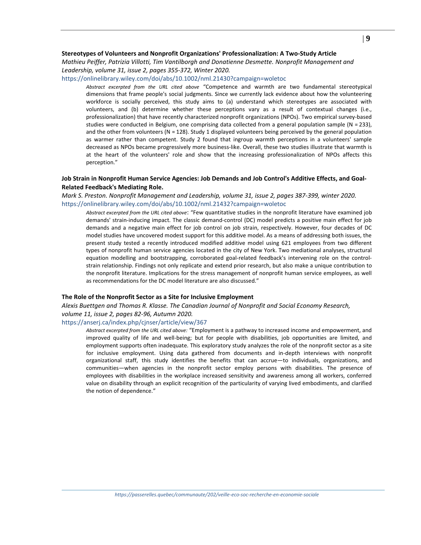# <span id="page-8-0"></span>**Stereotypes of Volunteers and Nonprofit Organizations' Professionalization: A Two‐Study Article**

*Mathieu Peiffer, Patrizia Villotti, Tim Vantilborgh and Donatienne Desmette. Nonprofit Management and Leadership, volume 31, issue 2, pages 355-372, Winter 2020.*

#### <https://onlinelibrary.wiley.com/doi/abs/10.1002/nml.21430?campaign=woletoc>

*Abstract excerpted from the URL cited above* "Competence and warmth are two fundamental stereotypical dimensions that frame people's social judgments. Since we currently lack evidence about how the volunteering workforce is socially perceived, this study aims to (a) understand which stereotypes are associated with volunteers, and (b) determine whether these perceptions vary as a result of contextual changes (i.e., professionalization) that have recently characterized nonprofit organizations (NPOs). Two empirical survey‐based studies were conducted in Belgium, one comprising data collected from a general population sample (N = 233), and the other from volunteers ( $N = 128$ ). Study 1 displayed volunteers being perceived by the general population as warmer rather than competent. Study 2 found that ingroup warmth perceptions in a volunteers' sample decreased as NPOs became progressively more business‐like. Overall, these two studies illustrate that warmth is at the heart of the volunteers' role and show that the increasing professionalization of NPOs affects this perception."

# <span id="page-8-1"></span>**Job Strain in Nonprofit Human Service Agencies: Job Demands and Job Control's Additive Effects, and Goal‐ Related Feedback's Mediating Role.**

*Mark S. Preston. Nonprofit Management and Leadership, volume 31, issue 2, pages 387-399, winter 2020.* <https://onlinelibrary.wiley.com/doi/abs/10.1002/nml.21432?campaign=woletoc>

*Abstract excerpted from the URL cited above*: "Few quantitative studies in the nonprofit literature have examined job demands' strain‐inducing impact. The classic demand‐control (DC) model predicts a positive main effect for job demands and a negative main effect for job control on job strain, respectively. However, four decades of DC model studies have uncovered modest support for this additive model. As a means of addressing both issues, the present study tested a recently introduced modified additive model using 621 employees from two different types of nonprofit human service agencies located in the city of New York. Two mediational analyses, structural equation modelling and bootstrapping, corroborated goal-related feedback's intervening role on the controlstrain relationship. Findings not only replicate and extend prior research, but also make a unique contribution to the nonprofit literature. Implications for the stress management of nonprofit human service employees, as well as recommendations for the DC model literature are also discussed."

#### <span id="page-8-2"></span>**The Role of the Nonprofit Sector as a Site for Inclusive Employment**

*Alexis Buettgen and Thomas R. Klasse. The Canadian Journal of Nonprofit and Social Economy Research, volume 11, issue 2, pages 82-96, Autumn 2020.*

# <https://anserj.ca/index.php/cjnser/article/view/367>

<span id="page-8-3"></span>*Abstract excerpted from the URL cited above:* "Employment is a pathway to increased income and empowerment, and improved quality of life and well-being; but for people with disabilities, job opportunities are limited, and employment supports often inadequate. This exploratory study analyzes the role of the nonprofit sector as a site for inclusive employment. Using data gathered from documents and in-depth interviews with nonprofit organizational staff, this study identifies the benefits that can accrue—to individuals, organizations, and communities—when agencies in the nonprofit sector employ persons with disabilities. The presence of employees with disabilities in the workplace increased sensitivity and awareness among all workers, conferred value on disability through an explicit recognition of the particularity of varying lived embodiments, and clarified the notion of dependence."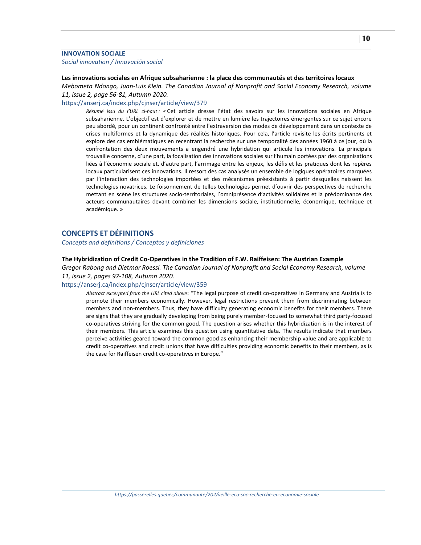# **INNOVATION SOCIALE**

<span id="page-9-0"></span>*Social innovation / Innovación social*

#### <span id="page-9-1"></span>**Les innovations sociales en Afrique subsaharienne : la place des communautés et des territoires locaux**

*Mebometa Ndongo, Juan-Luis Klein. The Canadian Journal of Nonprofit and Social Economy Research, volume 11, issue 2, page 56-81, Autumn 2020.*

#### <https://anserj.ca/index.php/cjnser/article/view/379>

*Résumé issu du l'URL ci-haut : «* Cet article dresse l'état des savoirs sur les innovations sociales en Afrique subsaharienne. L'objectif est d'explorer et de mettre en lumière les trajectoires émergentes sur ce sujet encore peu abordé, pour un continent confronté entre l'extraversion des modes de développement dans un contexte de crises multiformes et la dynamique des réalités historiques. Pour cela, l'article revisite les écrits pertinents et explore des cas emblématiques en recentrant la recherche sur une temporalité des années 1960 à ce jour, où la confrontation des deux mouvements a engendré une hybridation qui articule les innovations. La principale trouvaille concerne, d'une part, la focalisation des innovations sociales sur l'humain portées par des organisations liées à l'économie sociale et, d'autre part, l'arrimage entre les enjeux, les défis et les pratiques dont les repères locaux particularisent ces innovations. Il ressort des cas analysés un ensemble de logiques opératoires marquées par l'interaction des technologies importées et des mécanismes préexistants à partir desquelles naissent les technologies novatrices. Le foisonnement de telles technologies permet d'ouvrir des perspectives de recherche mettant en scène les structures socio-territoriales, l'omniprésence d'activités solidaires et la prédominance des acteurs communautaires devant combiner les dimensions sociale, institutionnelle, économique, technique et académique. »

# <span id="page-9-2"></span>**CONCEPTS ET DÉFINITIONS**

<span id="page-9-3"></span>*Concepts and definitions / Conceptos y definiciones*

#### <span id="page-9-4"></span>**The Hybridization of Credit Co-Operatives in the Tradition of F.W. Raiffeisen: The Austrian Example**

*Gregor Rabong and Dietmar Roessl. The Canadian Journal of Nonprofit and Social Economy Research, volume 11, issue 2, pages 97-108, Autumn 2020.*

#### <https://anserj.ca/index.php/cjnser/article/view/359>

<span id="page-9-5"></span>*Abstract excerpted from the URL cited above*: "The legal purpose of credit co-operatives in Germany and Austria is to promote their members economically. However, legal restrictions prevent them from discriminating between members and non-members. Thus, they have difficulty generating economic benefits for their members. There are signs that they are gradually developing from being purely member-focused to somewhat third party-focused co-operatives striving for the common good. The question arises whether this hybridization is in the interest of their members. This article examines this question using quantitative data. The results indicate that members perceive activities geared toward the common good as enhancing their membership value and are applicable to credit co-operatives and credit unions that have difficulties providing economic benefits to their members, as is the case for Raiffeisen credit co-operatives in Europe."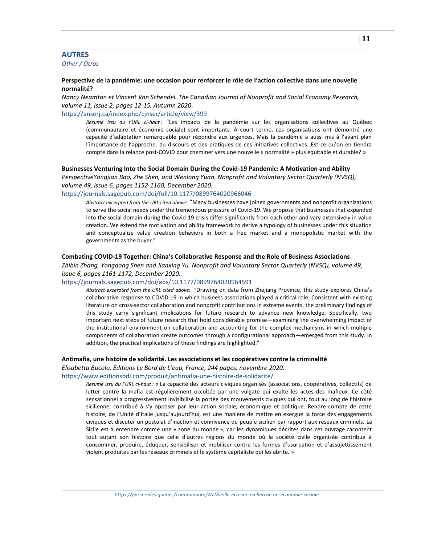# **AUTRES**

<span id="page-10-0"></span>*Other / Otros*

## <span id="page-10-1"></span>**Perspective de la pandémie: une occasion pour renforcer le rôle de l'action collective dans une nouvelle normalité?**

*Nancy Neamtan et Vincent Van Schendel. The Canadian Journal of Nonprofit and Social Economy Research, volume 11, issue 2, pages 12-15, Autumn 2020*.

# <https://anserj.ca/index.php/cjnser/article/view/399>

*Résumé issu du l'URL ci-haut :* "Les impacts de la pandémie sur les organisations collectives au Québec (communautaire et économie sociale) sont importants. À court terme, ces organisations ont démontré une capacité d'adaptation remarquable pour répondre aux urgences. Mais la pandémie a aussi mis à l'avant plan l'importance de l'approche, du discours et des pratiques de ces initiatives collectives. Est-ce qu'on en tiendra compte dans la relance post-COVID pour cheminer vers une nouvelle « normalité » plus équitable et durable? »

#### **Businesses Venturing Into the Social Domain During the Covid-19 Pandemic: A Motivation and Ability**

*PerspectiveYongjian Bao, Zhe Shen, and Wenlong Yuan. Nonprofit and Voluntary Sector Quarterly (NVSQ), volume 49, issue 6, pages 1152-1160, December 2020.*

<https://journals.sagepub.com/doi/full/10.1177/0899764020966046>

*Abstract excerpted from the URL cited above*: "Many businesses have joined governments and nonprofit organizations to serve the social needs under the tremendous pressure of Covid-19. We propose that businesses that expanded into the social domain during the Covid-19 crisis differ significantly from each other and vary extensively in value creation. We extend the motivation and ability framework to derive a typology of businesses under this situation and conceptualize value creation behaviors in both a free market and a monopolistic market with the governments as the buyer."

# <span id="page-10-2"></span>**Combating COVID-19 Together: China's Collaborative Response and the Role of Business Associations**

*Zhibin Zhang, Yongdong Shen and Jianxing Yu. Nonprofit and Voluntary Sector Quarterly (NVSQ), volume 49, issue 6, pages 1161-1172, December 2020.*

# <https://journals.sagepub.com/doi/abs/10.1177/0899764020964591>

*Abstract excerpted from the URL cited above:* "Drawing on data from Zhejiang Province, this study explores China's collaborative response to COVID-19 in which business associations played a critical role. Consistent with existing literature on cross-sector collaboration and nonprofit contributions in extreme events, the preliminary findings of this study carry significant implications for future research to advance new knowledge. Specifically, two important next steps of future research that hold considerable promise—examining the overwhelming impact of the institutional environment on collaboration and accounting for the complex mechanisms in which multiple components of collaboration create outcomes through a configurational approach—emerged from this study. In addition, the practical implications of these findings are highlighted."

#### <span id="page-10-3"></span>**Antimafia, une histoire de solidarité. Les associations et les coopératives contre la criminalité**

*Elisabetta Bucolo. Éditions Le Bord de L'eau, France, 244 pages, novembre 2020.*

#### <https://www.editionsbdl.com/produit/antimafia-une-histoire-de-solidarite/>

*Résumé issu du l'URL ci-haut :* « La capacité des acteurs civiques organisés (associations, coopératives, collectifs) de lutter contre la mafia est régulièrement occultée par une vulgate qui exalte les actes des mafieux. Ce côté sensationnel a progressivement invisibilisé la portée des mouvements civiques qui ont, tout au long de l'histoire sicilienne, contribué à s'y opposer par leur action sociale, économique et politique. Rendre compte de cette histoire, de l'Unité d'Italie jusqu'aujourd'hui, est une manière de mettre en exergue la force des engagements civiques et discuter un postulat d'inaction et connivence du peuple sicilien par rapport aux réseaux criminels. La Sicile est à entendre comme une « zone du monde », car les dynamiques décrites dans cet ouvrage racontent tout autant son histoire que celle d'autres régions du monde où la société civile organisée contribue à consommer, produire, éduquer, sensibiliser et mobiliser contre les formes d'usurpation et d'assujettissement violent produites par les réseaux criminels et le système capitaliste qui les abrite. »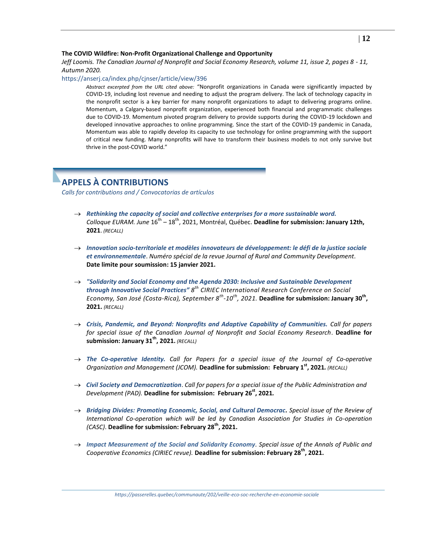#### <span id="page-11-0"></span>**The COVID Wildfire: Non-Profit Organizational Challenge and Opportunity**

# *Jeff Loomis. The Canadian Journal of Nonprofit and Social Economy Research, volume 11, issue 2, pages 8 - 11, Autumn 2020.*

<https://anserj.ca/index.php/cjnser/article/view/396>

*Abstract excerpted from the URL cited above:* "Nonprofit organizations in Canada were significantly impacted by COVID-19, including lost revenue and needing to adjust the program delivery. The lack of technology capacity in the nonprofit sector is a key barrier for many nonprofit organizations to adapt to delivering programs online. Momentum, a Calgary-based nonprofit organization, experienced both financial and programmatic challenges due to COVID-19. Momentum pivoted program delivery to provide supports during the COVID-19 lockdown and developed innovative approaches to online programming. Since the start of the COVID-19 pandemic in Canada, Momentum was able to rapidly develop its capacity to use technology for online programming with the support of critical new funding. Many nonprofits will have to transform their business models to not only survive but thrive in the post-COVID world."

# <span id="page-11-1"></span>**APPELS À CONTRIBUTIONS**

<span id="page-11-2"></span>*Calls for contributions and / Convocatorias de artículos*

- *Rethinking the capacity [of social and collective enterprises for a more sustainable word.](https://crises.uqam.ca/entreprises-collectives/rethinking-the-capacities-of-social-and-collective-enterprises-for-a-more-sustainable-world/)* Colloque EURAM. June 16<sup>th</sup> – 18<sup>th</sup>, 2021, Montréal, Québec. **Deadline for submission: January 12th**, **2021**. *(RECALL)*
- *[Innovation socio-territoriale et modèles innovateurs de développement: le défi de la justice sociale](https://crises.uqam.ca/wp-content/uploads/2020/12/ALBERIO-KLEIN-Proposal-JRCD-15jan2021-1.pdf)  [et environnementale](https://crises.uqam.ca/wp-content/uploads/2020/12/ALBERIO-KLEIN-Proposal-JRCD-15jan2021-1.pdf)*. *Numéro spécial de la revue Journal of Rural and Community Development.* **Date limite pour soumission: 15 janvier 2021.**
- *"Solidarity and Social Economy [and the Agenda 2030: Inclusive and Sustainable Development](https://ciriec.uned.ac.cr/en/congress-2021)  [through Innovative Social Practices"](https://ciriec.uned.ac.cr/en/congress-2021) 8 th CIRIEC International Research Conference on Social Economy, San José (Costa-Rica), September 8th -10th , 2021.* **Deadline for submission: January 30th , 2021.** *(RECALL)*
- *[Crisis, Pandemic, and Beyond: Nonprofits and Adaptive Capability of Communities.](https://anserj.ca/index.php/cjnser/announcement/view/4) Call for papers for special issue of the Canadian Journal of Nonprofit and Social Economy Research*. **Deadline for submission: January 31th, 2021.** *(RECALL)*
- $\rightarrow$  [The Co-operative Identity.](https://www.journals.elsevier.com/journal-of-co-operative-organization-and-management/call-for-papers/call-for-papers-special-issue-on-the-co-operative-identity) Call for Papers for a special issue of the Journal of Co-operative *Organization and Management (JCOM).* **Deadline for submission: February 1st, 2021***. (RECALL)*
- *[Civil Society and Democratization](https://onlinelibrary.wiley.com/pb-assets/assets/1099162X/PAD%20CfP%20draft%2020.11.10-1605172225967.pdf)*. *Call for papers for a special issue of the Public Administration and Development (PAD).* **Deadline for submission: February 26st, 2021***.*
- *[Bridging Divides: Promoting Economic, Social, and Cultural Democrac.](https://ccr.ica.coop/en/newsroom/news/extended-deadline-28-february-2021-review-international-co-operation-special-issue) Special issue of the Review of International Co-operation which will be led by Canadian Association for Studies in Co-operation (CASC)*. **Deadline for submission: February 28th, 2021.**
- *[Impact Measurement of the Social and Solidarity Economy](http://app.dialoginsight.com/T/OFC4/L2S/8164/M733916/747436/28144827/Bpn6G3/1/101421/qHl5vbIG/I/760475/Mojnjl.html?h=mIVdOnanL3t12Y-EWa0CfMQ6m1aFDwI2zBNClQLUbQI). Special issue of the Annals of Public and Cooperative Economics (CIRIEC revue).* **Deadline for submission: February 28th, 2021.**

*https://passerelles.quebec/communaute/202/veille-eco-soc-recherche-en-economie-sociale*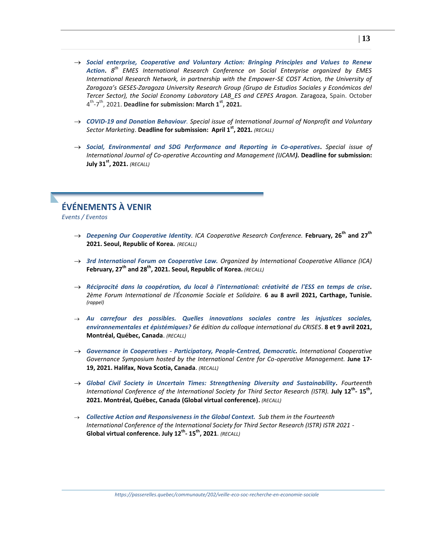- *[Social enterprise, Cooperative and Voluntary Action: Bringing Principles and Values to Renew](https://emes.net/events/conferences/8th-emes-international-research-conference-on-social-enterprise/?utm_source=EMES+News+Alert&utm_campaign=070670db42-EMAIL_CAMPAIGN_2019_01_25_07_43_COPY_01&utm_medium=email&utm_term=0_606c4931a8-070670db42-62672705)  [Action](https://emes.net/events/conferences/8th-emes-international-research-conference-on-social-enterprise/?utm_source=EMES+News+Alert&utm_campaign=070670db42-EMAIL_CAMPAIGN_2019_01_25_07_43_COPY_01&utm_medium=email&utm_term=0_606c4931a8-070670db42-62672705)***.** *8 th EMES International Research Conference on Social Enterprise organized by EMES International Research Network, in partnership with the Empower-SE COST Action, the University of Zaragoza's GESES-Zaragoza University Research Group (Grupo de Estudios Sociales y Económicos del Tercer Sector), the Social Economy Laboratory LAB\_ES and CEPES Aragon.* Zaragoza, Spain. October 4 th -7 th, 2021. **[Deadline for submission: March 1](https://onlinelibrary.wiley.com/pb-assets/assets/1479103X/Call%20for%20Papers%20%20-%20COVID19%202021-1593769800327.pdf)st, 2021.**
- *[COVID-19 and Donation Behaviour](https://onlinelibrary.wiley.com/pb-assets/assets/1479103X/Call%20for%20Papers%20%20-%20COVID19%202021-1593769800327.pdf). Special issue of International Journal of Nonprofit and Voluntary Sector Marketing*. **Deadline for submission: April 1st, 2021***. (RECALL)*
- *[Social, Environmental and SDG Performance and Reporting in Co-operatives](https://smu.ca/academics/sobey/ijcam-call-for-papers.html)***.** *Special issue of International Journal of Co-operative Accounting and Management (IJCAM).* **Deadline for submission: July 31st, 2021.** *(RECALL)*

# <span id="page-12-0"></span>**ÉVÉNEMENTS À VENIR**

<span id="page-12-1"></span>*Events / Evento[s](https://ccr.ica.coop/en/newsroom/news/deadline-exteded-15-september-call-abstracts-and-panel-proposals-ica-cooperative)*

- *[Deepening Our Cooperative Identity](https://ccr.ica.coop/en/newsroom/news/deadline-exteded-15-september-call-abstracts-and-panel-proposals-ica-cooperative). ICA Cooperative Research Conference.* **February, 26th and 27th 2021. Seoul, Republic of Korea.** *(RECALL)*
- *[3rd International Forum on Cooperative Law.](https://ccr.ica.coop/en/newsroom/news/deadline-extended-15-september-call-abstracts-3rd-international-forum-cooperative-law) Organized by International Cooperative Alliance (ICA)* **February, 27th and 28th, 2021. Seoul, Republic of Korea***. (RECALL)*
- *[Réciprocité dans la coopération, du local à l'international: créativité de l'ESS en temps de crise.](https://forumess2021.sciencesconf.org/data/pages/AppelForumCarthage2021_RIUESS_oct2020.pdf) 2ème Forum International de l'Économie Sociale et Solidaire.* **6 au 8 avril 2021, Carthage, Tunisie.** *(rappel)*
- *[Au carrefour des possibles. Quelles innovations sociales contre les injustices sociales,](https://sites.grenadine.uqam.ca/sites/crises/fr/colloque2021/about/pages/4/Appel+%C3%A0+communications)  [environnementales et épistémiques?](https://sites.grenadine.uqam.ca/sites/crises/fr/colloque2021/about/pages/4/Appel+%C3%A0+communications) 6e édition du colloque international du CRISES*. **8 et 9 avril 2021, Montréal, Québec, Canada**. *(RECALL)*
- *Governance in Cooperatives - [Participatory, People-Centred, Democratic.](https://smu.ca/webfiles/2021CoopGovernanceSymposium_CallforPapers_VersionJuly2020.pdf) International Cooperative Governance Symposium hosted by the International Centre for Co-operative Management.* **June 17- 19, 2021. Halifax, Nova Scotia, Canada**. *(RECALL)*
- *[Global Civil Society in Uncertain Times: Strengthening Diversity and Sustainability.](https://cdn.ymaws.com/www.istr.org/resource/resmgr/21_montreal/Montreal_Call_2021_Aug_1.pdf) Fourteenth International Conference of the International Society for Third Sector Research (ISTR).* **July 12th - 15th , 2021. Montréal, Québec, Canada (Global virtual conference).** *(RECALL)*
- *[Collective Action and Responsiveness in the Global Context.](https://cdn.ymaws.com/www.istr.org/resource/resmgr/21_montreal/Montreal_Call_2021_Aug_1.pdf) Sub them in the Fourteenth International Conference of the International Society for Third Sector Research (ISTR) ISTR 2021* - **Global virtual conference. July 12th - 15th , 2021**. *(RECALL)*